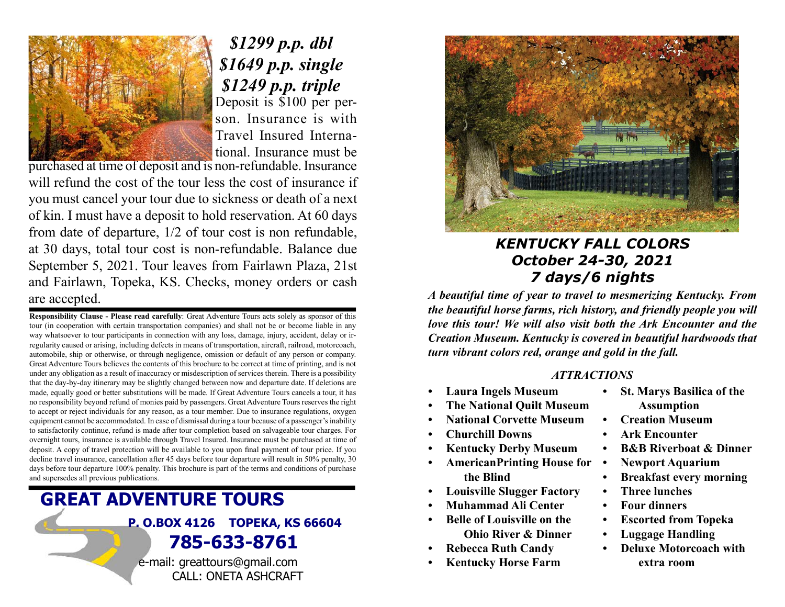

Deposit is \$100 per person. Insurance is with Travel Insured International. Insurance must be \$1299 p.p. dbl \$1649 p.p. single \$1249 p.p. triple

purchased at time of deposit and is non-refundable. Insurance will refund the cost of the tour less the cost of insurance if you must cancel your tour due to sickness or death of a next of kin. I must have a deposit to hold reservation. At 60 days from date of departure, 1/2 of tour cost is non refundable, at 30 days, total tour cost is non-refundable. Balance due September 5, 2021. Tour leaves from Fairlawn Plaza, 21st and Fairlawn, Topeka, KS. Checks, money orders or cash are accepted.

Responsibility Clause - Please read carefully: Great Adventure Tours acts solely as sponsor of this tour (in cooperation with certain transportation companies) and shall not be or become liable in any way whatsoever to tour participants in connection with any loss, damage, injury, accident, delay or irregularity caused or arising, including defects in means of transportation, aircraft, railroad, motorcoach, automobile, ship or otherwise, or through negligence, omission or default of any person or company. Great Adventure Tours believes the contents of this brochure to be correct at time of printing, and is not under any obligation as a result of inaccuracy or misdescription of services therein. There is a possibility that the day-by-day itinerary may be slightly changed between now and departure date. If deletions are made, equally good or better substitutions will be made. If Great Adventure Tours cancels a tour, it has no responsibility beyond refund of monies paid by passengers. Great Adventure Tours reserves the right to accept or reject individuals for any reason, as a tour member. Due to insurance regulations, oxygen equipment cannot be accommodated. In case of dismissal during a tour because of a passenger's inability to satisfactorily continue, refund is made after tour completion based on salvageable tour charges. For overnight tours, insurance is available through Travel Insured. Insurance must be purchased at time of deposit. A copy of travel protection will be available to you upon final payment of tour price. If you decline travel insurance, cancellation after 45 days before tour departure will result in 50% penalty, 30 days before tour departure 100% penalty. This brochure is part of the terms and conditions of purchase and supersedes all previous publications.

# GREAT ADVENTURE TOURS P. O.BOX 4126 TOPEKA, KS 66604 785-633-8761

e-mail: greattours@gmail.com CALL: ONETA ASHCRAFT



## KENTUCKY FALL COLORS October 24-30, 2021 7 days/6 nights

A beautiful time of year to travel to mesmerizing Kentucky. From the beautiful horse farms, rich history, and friendly people you will love this tour! We will also visit both the Ark Encounter and the Creation Museum. Kentucky is covered in beautiful hardwoods that turn vibrant colors red, orange and gold in the fall.

#### ATTRACTIONS

- Laura Ingels Museum
- The National Quilt Museum
- National Corvette Museum
- Churchill Downs
- **Kentucky Derby Museum**
- AmericanPrinting House for the Blind
- Louisville Slugger Factory
- Muhammad Ali Center
- Belle of Louisville on the Ohio River & Dinner
- Rebecca Ruth Candy
- Kentucky Horse Farm
- St. Marys Basilica of the Assumption
- Creation Museum
- Ark Encounter
- B&B Riverboat & Dinner
- Newport Aquarium
- Breakfast every morning
- Three lunches
- Four dinners
- Escorted from Topeka
- Luggage Handling
- Deluxe Motorcoach with extra room